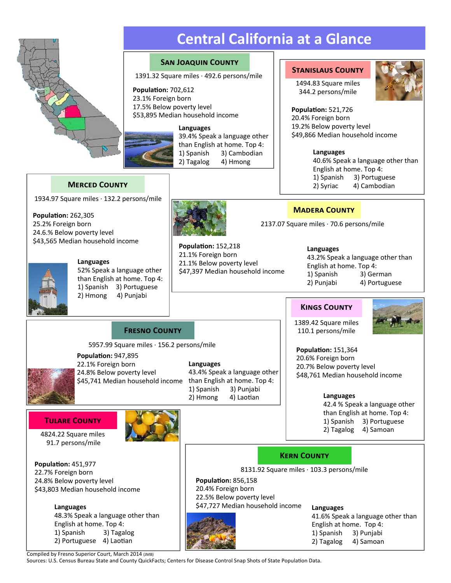

**PopulaƟon:** 262,305 25.2% Foreign born 24.6.% Below poverty level

1934.97 Square miles · 132.2 persons/mile **MERCED COUNTY** 

\$43,565 Median household income

**Languages**

# **Central California at a Glance**

### **SAN JOAQUIN COUNTY**

**STANISLAUS COUNTY**<br>1391.32 Square miles · 492.6 persons/mile

**PopulaƟon:** 702,612 23.1% Foreign born 17.5% Below poverty level \$53,895 Median household income

### **Languages**

39.4% Speak a language other than English at home. Top 4: 1) Spanish 3) Cambodian 2) Tagalog 4) Hmong

**PopulaƟon:** 152,218 21.1% Foreign born 21.1% Below poverty level

1494.83 Square miles 344.2 persons/mile



**PopulaƟon:** 521,726 20.4% Foreign born 19.2% Below poverty level \$49,866 Median household income

### **Languages**

40.6% Speak a language other than English at home. Top 4: 1) Spanish 3) Portuguese 2) Syriac 4) Cambodian

### **MADERA COUNTY**

2137.07 Square miles · 70.6 persons/mile

**Languages** 43.2% Speak a language other than English at home. Top 4: 1) Spanish 3) German 2) Punjabi 4) Portuguese

### **KINGS COUNTY**



1389.42 Square miles 110.1 persons/mile

**PopulaƟon:** 151,364 20.6% Foreign born 20.7% Below poverty level \$48,761 Median household income

### **Languages**

42.4 % Speak a language other than English at home. Top 4: 1) Spanish 3) Portuguese

**FRESNO COUNTY** 

5957.99 Square miles · 156.2 persons/mile

\$45,741 Median household income than English at home. Top 4: **PopulaƟon:** 947,895 22.1% Foreign born 24.8% Below poverty level

52% Speak a language other than English at home. Top 4:

> **Languages** 43.4% Speak a language other 1) Spanish 3) Punjabi 2) Hmong 4) Laotian

\$47,397 Median household income

### **TULARE COUNTY**

91.7 persons/mile

extending the state of the state of the state of the state of the state of the state of the state of the state of the state of the state of the state of the state of the state of the state of the state of the state of the

**PopulaƟon:** 451,977 22.7% Foreign born 24.8% Below poverty level \$43,803 Median household income

> **Languages** 48.3% Speak a language other than English at home. Top 4: 1) Spanish 3) Tagalog 2) Portuguese 4) Laotian

**PopulaƟon:** 856,158 8131.92 Square miles · 103.3 persons/mile **KERN COUNTY** 

20.4% Foreign born 22.5% Below poverty level \$47,727 Median household income



**Languages** 41.6% Speak a language other than English at home. Top 4: 1) Spanish 3) Punjabi 2) Tagalog 4) Samoan

Compiled by Fresno Superior Court, March 2014 (JMB)

Sources: U.S. Census Bureau State and County QuickFacts; Centers for Disease Control Snap Shots of State Population Data.

1) Spanish 3) Portuguese 2) Hmong 4) Punjabi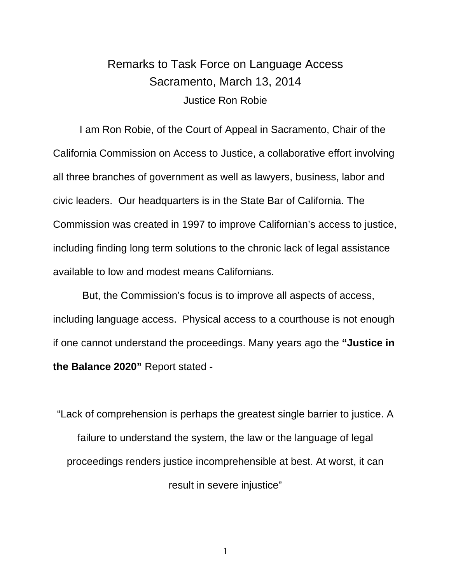# Remarks to Task Force on Language Access Sacramento, March 13, 2014 Justice Ron Robie

 I am Ron Robie, of the Court of Appeal in Sacramento, Chair of the California Commission on Access to Justice, a collaborative effort involving all three branches of government as well as lawyers, business, labor and civic leaders. Our headquarters is in the State Bar of California. The Commission was created in 1997 to improve Californian's access to justice, including finding long term solutions to the chronic lack of legal assistance available to low and modest means Californians.

 But, the Commission's focus is to improve all aspects of access, including language access. Physical access to a courthouse is not enough if one cannot understand the proceedings. Many years ago the **"Justice in the Balance 2020"** Report stated -

"Lack of comprehension is perhaps the greatest single barrier to justice. A failure to understand the system, the law or the language of legal proceedings renders justice incomprehensible at best. At worst, it can result in severe injustice"

1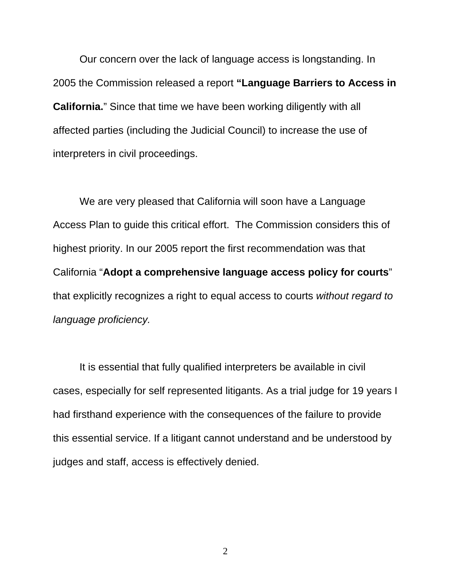Our concern over the lack of language access is longstanding. In 2005 the Commission released a report **"Language Barriers to Access in California.**" Since that time we have been working diligently with all affected parties (including the Judicial Council) to increase the use of interpreters in civil proceedings.

 We are very pleased that California will soon have a Language Access Plan to guide this critical effort. The Commission considers this of highest priority. In our 2005 report the first recommendation was that California "**Adopt a comprehensive language access policy for courts**" that explicitly recognizes a right to equal access to courts *without regard to language proficiency.*

 It is essential that fully qualified interpreters be available in civil cases, especially for self represented litigants. As a trial judge for 19 years I had firsthand experience with the consequences of the failure to provide this essential service. If a litigant cannot understand and be understood by judges and staff, access is effectively denied.

2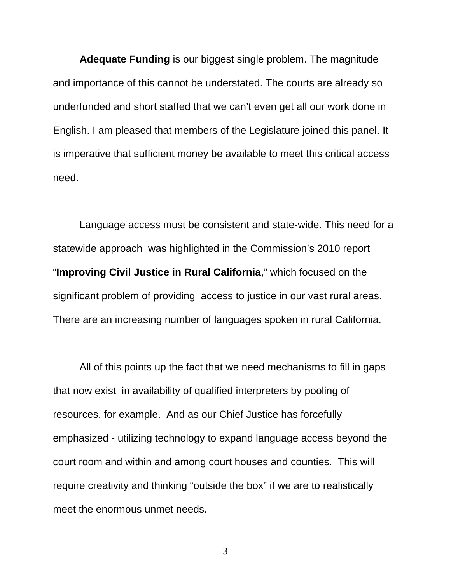**Adequate Funding** is our biggest single problem. The magnitude and importance of this cannot be understated. The courts are already so underfunded and short staffed that we can't even get all our work done in English. I am pleased that members of the Legislature joined this panel. It is imperative that sufficient money be available to meet this critical access need.

 Language access must be consistent and state-wide. This need for a statewide approach was highlighted in the Commission's 2010 report "**Improving Civil Justice in Rural California**," which focused on the significant problem of providing access to justice in our vast rural areas. There are an increasing number of languages spoken in rural California.

 All of this points up the fact that we need mechanisms to fill in gaps that now exist in availability of qualified interpreters by pooling of resources, for example. And as our Chief Justice has forcefully emphasized - utilizing technology to expand language access beyond the court room and within and among court houses and counties. This will require creativity and thinking "outside the box" if we are to realistically meet the enormous unmet needs.

3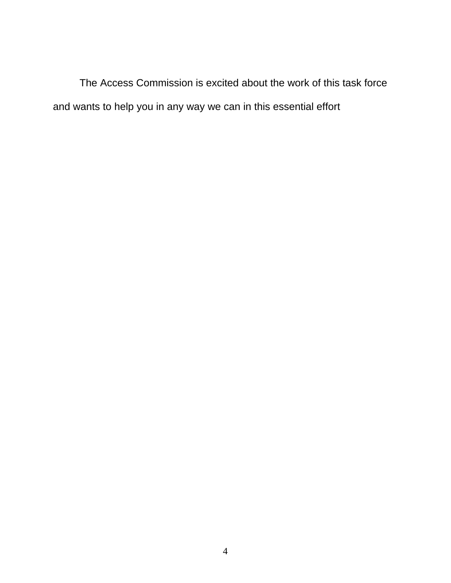The Access Commission is excited about the work of this task force and wants to help you in any way we can in this essential effort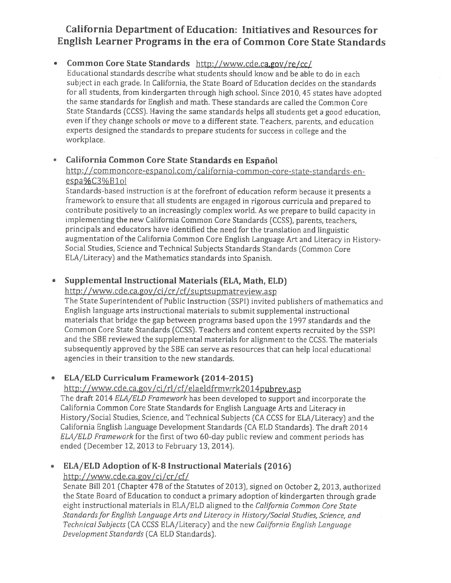## California Department of Education: Initiatives and Resources for English Learner Programs in the era of Common Core State Standards

## Common Core State Standards http://www.cde.ca.gov/re/cc/

Educational standards describe what students should know and be able to do in each subject in each grade. In California, the State Board of Education decides on the standards for all students, from kindergarten through high school. Since 2010, 45 states have adopted the same standards for English and math. These standards are called the Common Core State Standards (CCSS). Having the same standards helps all students get a good education, even if they change schools or move to a different state. Teachers, parents, and education experts designed the standards to prepare students for success in college and the workplace.

#### California Common Core State Standards en Español  $\bullet$

### http://commoncore-espanol.com/california-common-core-state-standards-enespa%C3%B1ol

Standards-based instruction is at the forefront of education reform because it presents a framework to ensure that all students are engaged in rigorous curricula and prepared to contribute positively to an increasingly complex world. As we prepare to build capacity in implementing the new California Common Core Standards (CCSS), parents, teachers, principals and educators have identified the need for the translation and linguistic augmentation of the California Common Core English Language Art and Literacy in History-Social Studies, Science and Technical Subjects Standards Standards (Common Core ELA/Literacy) and the Mathematics standards into Spanish.

#### Supplemental Instructional Materials (ELA, Math, ELD)  $\bullet$

### http://www.cde.ca.gov/ci/cr/cf/suptsupmatreview.asp

The State Superintendent of Public Instruction (SSPI) invited publishers of mathematics and English language arts instructional materials to submit supplemental instructional materials that bridge the gap between programs based upon the 1997 standards and the Common Core State Standards (CCSS). Teachers and content experts recruited by the SSPI and the SBE reviewed the supplemental materials for alignment to the CCSS. The materials subsequently approved by the SBE can serve as resources that can help local educational agencies in their transition to the new standards.

#### **ELA/ELD Curriculum Framework (2014-2015)** ۰

### http://www.cde.ca.gov/ci/rl/cf/elaeldfrmwrk2014pubrey.asp

The draft 2014 ELA/ELD Framework has been developed to support and incorporate the California Common Core State Standards for English Language Arts and Literacy in History/Social Studies, Science, and Technical Subjects (CA CCSS for ELA/Literacy) and the California English Language Development Standards (CA ELD Standards). The draft 2014 ELA/ELD Framework for the first of two 60-day public review and comment periods has ended (December 12, 2013 to February 13, 2014).

### **ELA/ELD Adoption of K-8 Instructional Materials (2016)** ۰

### http://www.cde.ca.gov/ci/cr/cf/

Senate Bill 201 (Chapter 478 of the Statutes of 2013), signed on October 2, 2013, authorized the State Board of Education to conduct a primary adoption of kindergarten through grade eight instructional materials in ELA/ELD aligned to the California Common Core State Standards for English Language Arts and Literacy in History/Social Studies, Science, and Technical Subjects (CA CCSS ELA/Literacy) and the new California English Language Development Standards (CA ELD Standards).